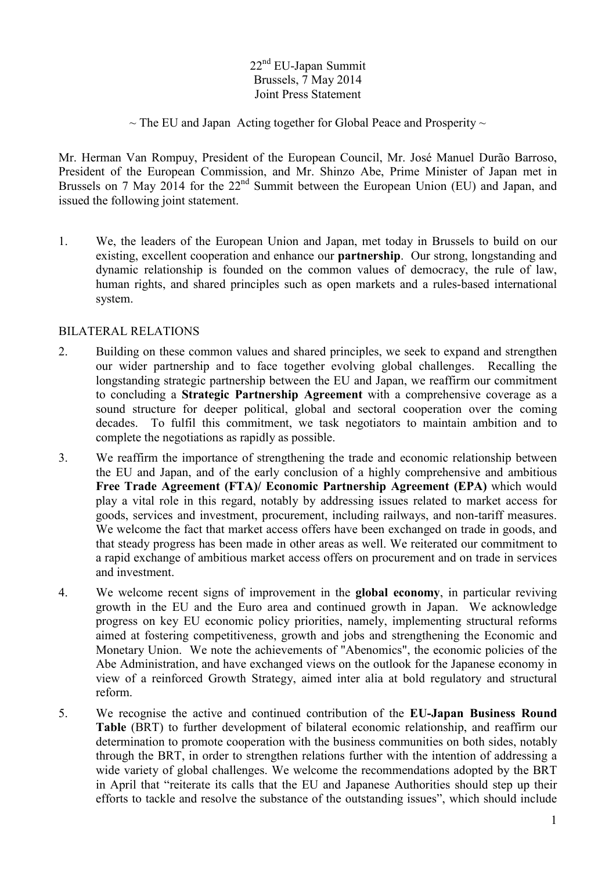## 22<sup>nd</sup> EU-Japan Summit Brussels, 7 May 2014 Joint Press Statement

 $\sim$  The EU and Japan Acting together for Global Peace and Prosperity  $\sim$ 

Mr. Herman Van Rompuy, President of the European Council, Mr. José Manuel Durão Barroso, President of the European Commission, and Mr. Shinzo Abe, Prime Minister of Japan met in Brussels on 7 May 2014 for the  $22<sup>nd</sup>$  Summit between the European Union (EU) and Japan, and issued the following joint statement.

1. We, the leaders of the European Union and Japan, met today in Brussels to build on our existing, excellent cooperation and enhance our **partnership**. Our strong, longstanding and dynamic relationship is founded on the common values of democracy, the rule of law, human rights, and shared principles such as open markets and a rules-based international system.

## BILATERAL RELATIONS

- 2. Building on these common values and shared principles, we seek to expand and strengthen our wider partnership and to face together evolving global challenges. Recalling the longstanding strategic partnership between the EU and Japan, we reaffirm our commitment to concluding a **Strategic Partnership Agreement** with a comprehensive coverage as a sound structure for deeper political, global and sectoral cooperation over the coming decades. To fulfil this commitment, we task negotiators to maintain ambition and to complete the negotiations as rapidly as possible.
- 3. We reaffirm the importance of strengthening the trade and economic relationship between the EU and Japan, and of the early conclusion of a highly comprehensive and ambitious **Free Trade Agreement (FTA)/ Economic Partnership Agreement (EPA)** which would play a vital role in this regard, notably by addressing issues related to market access for goods, services and investment, procurement, including railways, and non-tariff measures. We welcome the fact that market access offers have been exchanged on trade in goods, and that steady progress has been made in other areas as well. We reiterated our commitment to a rapid exchange of ambitious market access offers on procurement and on trade in services and investment.
- 4. We welcome recent signs of improvement in the **global economy**, in particular reviving growth in the EU and the Euro area and continued growth in Japan. We acknowledge progress on key EU economic policy priorities, namely, implementing structural reforms aimed at fostering competitiveness, growth and jobs and strengthening the Economic and Monetary Union. We note the achievements of "Abenomics", the economic policies of the Abe Administration, and have exchanged views on the outlook for the Japanese economy in view of a reinforced Growth Strategy, aimed inter alia at bold regulatory and structural reform.
- 5. We recognise the active and continued contribution of the **EU-Japan Business Round Table** (BRT) to further development of bilateral economic relationship, and reaffirm our determination to promote cooperation with the business communities on both sides, notably through the BRT, in order to strengthen relations further with the intention of addressing a wide variety of global challenges. We welcome the recommendations adopted by the BRT in April that "reiterate its calls that the EU and Japanese Authorities should step up their efforts to tackle and resolve the substance of the outstanding issues", which should include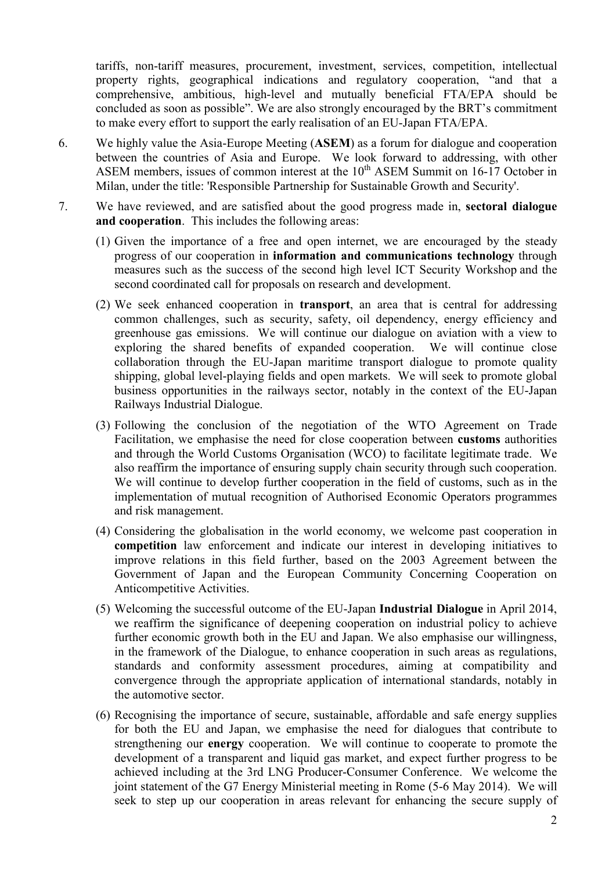tariffs, non-tariff measures, procurement, investment, services, competition, intellectual property rights, geographical indications and regulatory cooperation, "and that a comprehensive, ambitious, high-level and mutually beneficial FTA/EPA should be concluded as soon as possible". We are also strongly encouraged by the BRT's commitment to make every effort to support the early realisation of an EU-Japan FTA/EPA.

- 6. We highly value the Asia-Europe Meeting (**ASEM**) as a forum for dialogue and cooperation between the countries of Asia and Europe. We look forward to addressing, with other ASEM members, issues of common interest at the  $10^{th}$  ASEM Summit on 16-17 October in Milan, under the title: 'Responsible Partnership for Sustainable Growth and Security'.
- 7. We have reviewed, and are satisfied about the good progress made in, **sectoral dialogue and cooperation**. This includes the following areas:
	- (1) Given the importance of a free and open internet, we are encouraged by the steady progress of our cooperation in **information and communications technology** through measures such as the success of the second high level ICT Security Workshop and the second coordinated call for proposals on research and development.
	- (2) We seek enhanced cooperation in **transport**, an area that is central for addressing common challenges, such as security, safety, oil dependency, energy efficiency and greenhouse gas emissions. We will continue our dialogue on aviation with a view to exploring the shared benefits of expanded cooperation. We will continue close collaboration through the EU-Japan maritime transport dialogue to promote quality shipping, global level-playing fields and open markets. We will seek to promote global business opportunities in the railways sector, notably in the context of the EU-Japan Railways Industrial Dialogue.
	- (3) Following the conclusion of the negotiation of the WTO Agreement on Trade Facilitation, we emphasise the need for close cooperation between **customs** authorities and through the World Customs Organisation (WCO) to facilitate legitimate trade. We also reaffirm the importance of ensuring supply chain security through such cooperation. We will continue to develop further cooperation in the field of customs, such as in the implementation of mutual recognition of Authorised Economic Operators programmes and risk management.
	- (4) Considering the globalisation in the world economy, we welcome past cooperation in **competition** law enforcement and indicate our interest in developing initiatives to improve relations in this field further, based on the 2003 Agreement between the Government of Japan and the European Community Concerning Cooperation on Anticompetitive Activities.
	- (5) Welcoming the successful outcome of the EU-Japan **Industrial Dialogue** in April 2014, we reaffirm the significance of deepening cooperation on industrial policy to achieve further economic growth both in the EU and Japan. We also emphasise our willingness, in the framework of the Dialogue, to enhance cooperation in such areas as regulations, standards and conformity assessment procedures, aiming at compatibility and convergence through the appropriate application of international standards, notably in the automotive sector.
	- (6) Recognising the importance of secure, sustainable, affordable and safe energy supplies for both the EU and Japan, we emphasise the need for dialogues that contribute to strengthening our **energy** cooperation. We will continue to cooperate to promote the development of a transparent and liquid gas market, and expect further progress to be achieved including at the 3rd LNG Producer-Consumer Conference. We welcome the joint statement of the G7 Energy Ministerial meeting in Rome (5-6 May 2014). We will seek to step up our cooperation in areas relevant for enhancing the secure supply of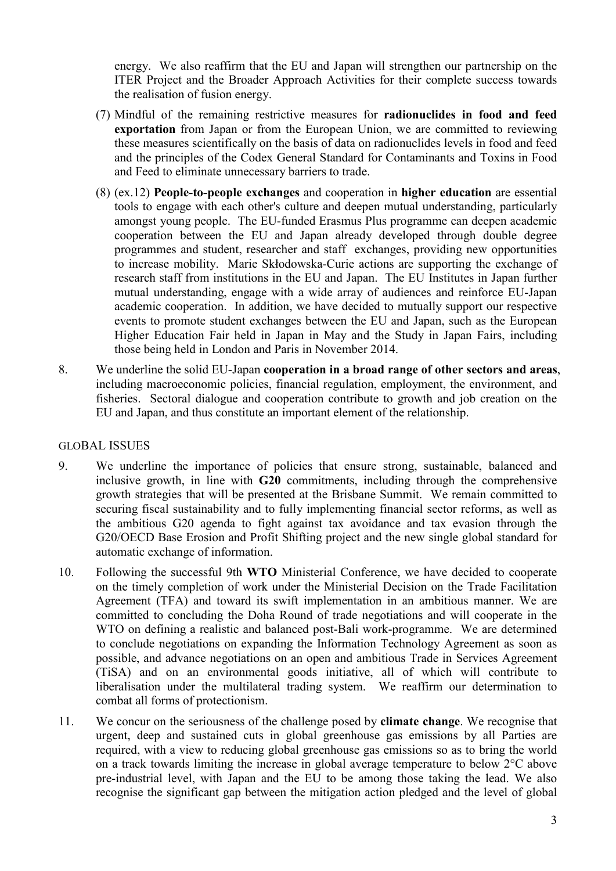energy. We also reaffirm that the EU and Japan will strengthen our partnership on the ITER Project and the Broader Approach Activities for their complete success towards the realisation of fusion energy.

- (7) Mindful of the remaining restrictive measures for **radionuclides in food and feed exportation** from Japan or from the European Union, we are committed to reviewing these measures scientifically on the basis of data on radionuclides levels in food and feed and the principles of the Codex General Standard for Contaminants and Toxins in Food and Feed to eliminate unnecessary barriers to trade.
- (8) (ex.12) **People-to-people exchanges** and cooperation in **higher education** are essential tools to engage with each other's culture and deepen mutual understanding, particularly amongst young people. The EU-funded Erasmus Plus programme can deepen academic cooperation between the EU and Japan already developed through double degree programmes and student, researcher and staff exchanges, providing new opportunities to increase mobility. Marie Skłodowska-Curie actions are supporting the exchange of research staff from institutions in the EU and Japan. The EU Institutes in Japan further mutual understanding, engage with a wide array of audiences and reinforce EU-Japan academic cooperation. In addition, we have decided to mutually support our respective events to promote student exchanges between the EU and Japan, such as the European Higher Education Fair held in Japan in May and the Study in Japan Fairs, including those being held in London and Paris in November 2014.
- 8. We underline the solid EU-Japan **cooperation in a broad range of other sectors and areas**, including macroeconomic policies, financial regulation, employment, the environment, and fisheries. Sectoral dialogue and cooperation contribute to growth and job creation on the EU and Japan, and thus constitute an important element of the relationship.

## GLOBAL ISSUES

- 9. We underline the importance of policies that ensure strong, sustainable, balanced and inclusive growth, in line with **G20** commitments, including through the comprehensive growth strategies that will be presented at the Brisbane Summit. We remain committed to securing fiscal sustainability and to fully implementing financial sector reforms, as well as the ambitious G20 agenda to fight against tax avoidance and tax evasion through the G20/OECD Base Erosion and Profit Shifting project and the new single global standard for automatic exchange of information.
- 10. Following the successful 9th **WTO** Ministerial Conference, we have decided to cooperate on the timely completion of work under the Ministerial Decision on the Trade Facilitation Agreement (TFA) and toward its swift implementation in an ambitious manner. We are committed to concluding the Doha Round of trade negotiations and will cooperate in the WTO on defining a realistic and balanced post-Bali work-programme. We are determined to conclude negotiations on expanding the Information Technology Agreement as soon as possible, and advance negotiations on an open and ambitious Trade in Services Agreement (TiSA) and on an environmental goods initiative, all of which will contribute to liberalisation under the multilateral trading system. We reaffirm our determination to combat all forms of protectionism.
- 11. We concur on the seriousness of the challenge posed by **climate change**. We recognise that urgent, deep and sustained cuts in global greenhouse gas emissions by all Parties are required, with a view to reducing global greenhouse gas emissions so as to bring the world on a track towards limiting the increase in global average temperature to below 2°C above pre-industrial level, with Japan and the EU to be among those taking the lead. We also recognise the significant gap between the mitigation action pledged and the level of global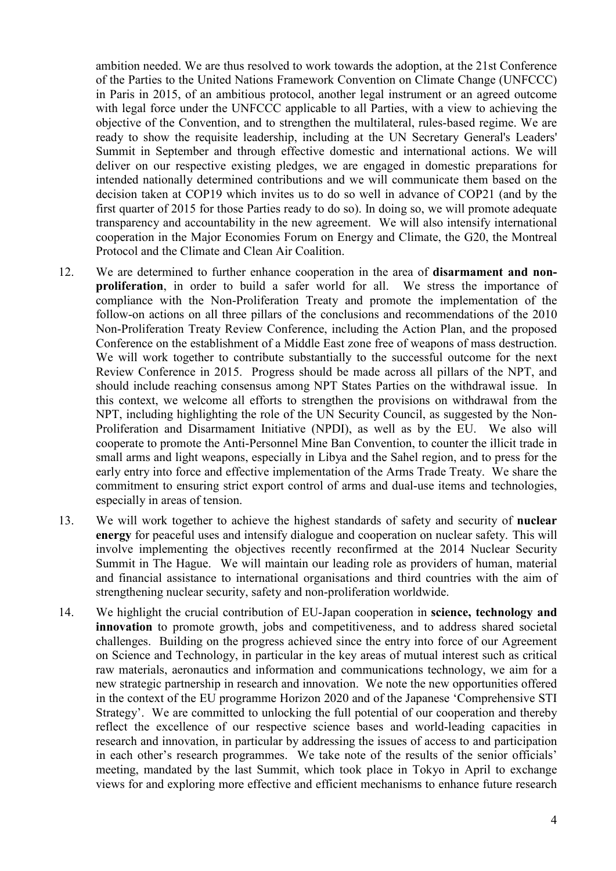ambition needed. We are thus resolved to work towards the adoption, at the 21st Conference of the Parties to the United Nations Framework Convention on Climate Change (UNFCCC) in Paris in 2015, of an ambitious protocol, another legal instrument or an agreed outcome with legal force under the UNFCCC applicable to all Parties, with a view to achieving the objective of the Convention, and to strengthen the multilateral, rules-based regime. We are ready to show the requisite leadership, including at the UN Secretary General's Leaders' Summit in September and through effective domestic and international actions. We will deliver on our respective existing pledges, we are engaged in domestic preparations for intended nationally determined contributions and we will communicate them based on the decision taken at COP19 which invites us to do so well in advance of COP21 (and by the first quarter of 2015 for those Parties ready to do so). In doing so, we will promote adequate transparency and accountability in the new agreement. We will also intensify international cooperation in the Major Economies Forum on Energy and Climate, the G20, the Montreal Protocol and the Climate and Clean Air Coalition.

- 12. We are determined to further enhance cooperation in the area of **disarmament and nonproliferation**, in order to build a safer world for all. We stress the importance of compliance with the Non-Proliferation Treaty and promote the implementation of the follow-on actions on all three pillars of the conclusions and recommendations of the 2010 Non-Proliferation Treaty Review Conference, including the Action Plan, and the proposed Conference on the establishment of a Middle East zone free of weapons of mass destruction. We will work together to contribute substantially to the successful outcome for the next Review Conference in 2015. Progress should be made across all pillars of the NPT, and should include reaching consensus among NPT States Parties on the withdrawal issue. In this context, we welcome all efforts to strengthen the provisions on withdrawal from the NPT, including highlighting the role of the UN Security Council, as suggested by the Non-Proliferation and Disarmament Initiative (NPDI), as well as by the EU. We also will cooperate to promote the Anti-Personnel Mine Ban Convention, to counter the illicit trade in small arms and light weapons, especially in Libya and the Sahel region, and to press for the early entry into force and effective implementation of the Arms Trade Treaty. We share the commitment to ensuring strict export control of arms and dual-use items and technologies, especially in areas of tension.
- 13. We will work together to achieve the highest standards of safety and security of **nuclear energy** for peaceful uses and intensify dialogue and cooperation on nuclear safety. This will involve implementing the objectives recently reconfirmed at the 2014 Nuclear Security Summit in The Hague. We will maintain our leading role as providers of human, material and financial assistance to international organisations and third countries with the aim of strengthening nuclear security, safety and non-proliferation worldwide.
- 14. We highlight the crucial contribution of EU-Japan cooperation in **science, technology and innovation** to promote growth, jobs and competitiveness, and to address shared societal challenges. Building on the progress achieved since the entry into force of our Agreement on Science and Technology, in particular in the key areas of mutual interest such as critical raw materials, aeronautics and information and communications technology, we aim for a new strategic partnership in research and innovation. We note the new opportunities offered in the context of the EU programme Horizon 2020 and of the Japanese 'Comprehensive STI Strategy'. We are committed to unlocking the full potential of our cooperation and thereby reflect the excellence of our respective science bases and world-leading capacities in research and innovation, in particular by addressing the issues of access to and participation in each other's research programmes. We take note of the results of the senior officials' meeting, mandated by the last Summit, which took place in Tokyo in April to exchange views for and exploring more effective and efficient mechanisms to enhance future research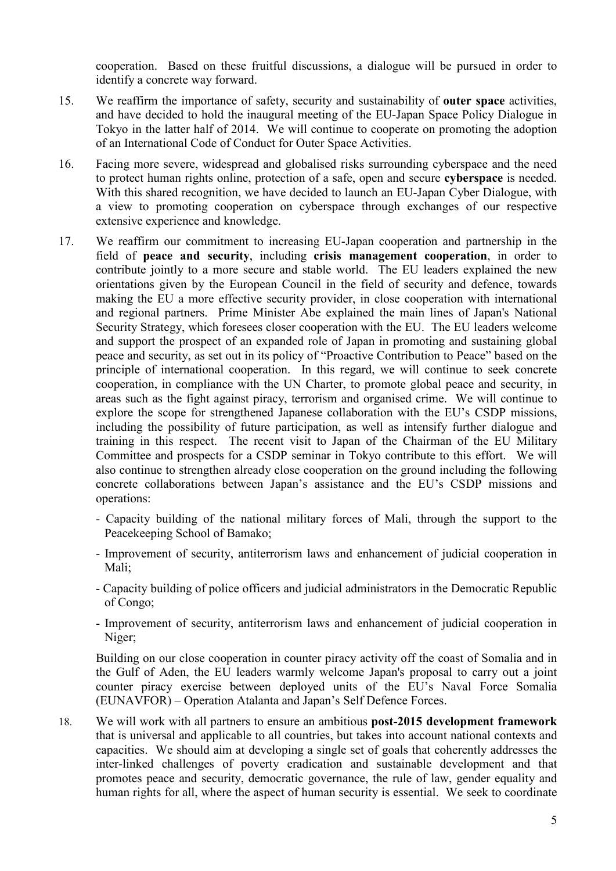cooperation. Based on these fruitful discussions, a dialogue will be pursued in order to identify a concrete way forward.

- 15. We reaffirm the importance of safety, security and sustainability of **outer space** activities, and have decided to hold the inaugural meeting of the EU-Japan Space Policy Dialogue in Tokyo in the latter half of 2014. We will continue to cooperate on promoting the adoption of an International Code of Conduct for Outer Space Activities.
- 16. Facing more severe, widespread and globalised risks surrounding cyberspace and the need to protect human rights online, protection of a safe, open and secure **cyberspace** is needed. With this shared recognition, we have decided to launch an EU-Japan Cyber Dialogue, with a view to promoting cooperation on cyberspace through exchanges of our respective extensive experience and knowledge.
- 17. We reaffirm our commitment to increasing EU-Japan cooperation and partnership in the field of **peace and security**, including **crisis management cooperation**, in order to contribute jointly to a more secure and stable world. The EU leaders explained the new orientations given by the European Council in the field of security and defence, towards making the EU a more effective security provider, in close cooperation with international and regional partners. Prime Minister Abe explained the main lines of Japan's National Security Strategy, which foresees closer cooperation with the EU. The EU leaders welcome and support the prospect of an expanded role of Japan in promoting and sustaining global peace and security, as set out in its policy of "Proactive Contribution to Peace" based on the principle of international cooperation. In this regard, we will continue to seek concrete cooperation, in compliance with the UN Charter, to promote global peace and security, in areas such as the fight against piracy, terrorism and organised crime. We will continue to explore the scope for strengthened Japanese collaboration with the EU's CSDP missions, including the possibility of future participation, as well as intensify further dialogue and training in this respect. The recent visit to Japan of the Chairman of the EU Military Committee and prospects for a CSDP seminar in Tokyo contribute to this effort. We will also continue to strengthen already close cooperation on the ground including the following concrete collaborations between Japan's assistance and the EU's CSDP missions and operations:
	- Capacity building of the national military forces of Mali, through the support to the Peacekeeping School of Bamako;
	- Improvement of security, antiterrorism laws and enhancement of judicial cooperation in Mali;
	- Capacity building of police officers and judicial administrators in the Democratic Republic of Congo;
	- Improvement of security, antiterrorism laws and enhancement of judicial cooperation in Niger;

Building on our close cooperation in counter piracy activity off the coast of Somalia and in the Gulf of Aden, the EU leaders warmly welcome Japan's proposal to carry out a joint counter piracy exercise between deployed units of the EU's Naval Force Somalia (EUNAVFOR) – Operation Atalanta and Japan's Self Defence Forces.

18. We will work with all partners to ensure an ambitious **post-2015 development framework** that is universal and applicable to all countries, but takes into account national contexts and capacities. We should aim at developing a single set of goals that coherently addresses the inter-linked challenges of poverty eradication and sustainable development and that promotes peace and security, democratic governance, the rule of law, gender equality and human rights for all, where the aspect of human security is essential. We seek to coordinate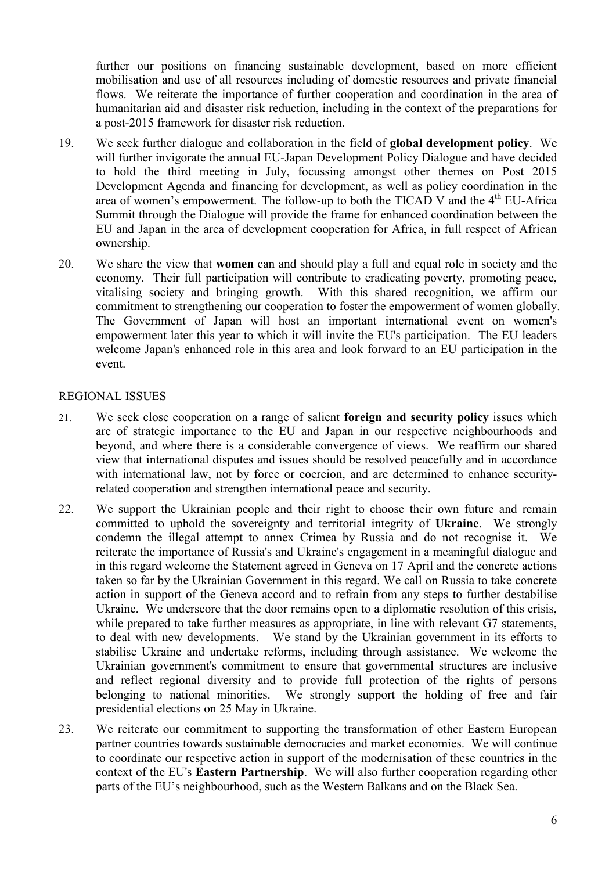further our positions on financing sustainable development, based on more efficient mobilisation and use of all resources including of domestic resources and private financial flows. We reiterate the importance of further cooperation and coordination in the area of humanitarian aid and disaster risk reduction, including in the context of the preparations for a post-2015 framework for disaster risk reduction.

- 19. We seek further dialogue and collaboration in the field of **global development policy**. We will further invigorate the annual EU-Japan Development Policy Dialogue and have decided to hold the third meeting in July, focussing amongst other themes on Post 2015 Development Agenda and financing for development, as well as policy coordination in the area of women's empowerment. The follow-up to both the TICAD V and the  $4<sup>th</sup>$  EU-Africa Summit through the Dialogue will provide the frame for enhanced coordination between the EU and Japan in the area of development cooperation for Africa, in full respect of African ownership.
- 20. We share the view that **women** can and should play a full and equal role in society and the economy. Their full participation will contribute to eradicating poverty, promoting peace, vitalising society and bringing growth. With this shared recognition, we affirm our commitment to strengthening our cooperation to foster the empowerment of women globally. The Government of Japan will host an important international event on women's empowerment later this year to which it will invite the EU's participation. The EU leaders welcome Japan's enhanced role in this area and look forward to an EU participation in the event.

## REGIONAL ISSUES

- 21. We seek close cooperation on a range of salient **foreign and security policy** issues which are of strategic importance to the EU and Japan in our respective neighbourhoods and beyond, and where there is a considerable convergence of views. We reaffirm our shared view that international disputes and issues should be resolved peacefully and in accordance with international law, not by force or coercion, and are determined to enhance securityrelated cooperation and strengthen international peace and security.
- 22. We support the Ukrainian people and their right to choose their own future and remain committed to uphold the sovereignty and territorial integrity of **Ukraine**. We strongly condemn the illegal attempt to annex Crimea by Russia and do not recognise it. We reiterate the importance of Russia's and Ukraine's engagement in a meaningful dialogue and in this regard welcome the Statement agreed in Geneva on 17 April and the concrete actions taken so far by the Ukrainian Government in this regard. We call on Russia to take concrete action in support of the Geneva accord and to refrain from any steps to further destabilise Ukraine. We underscore that the door remains open to a diplomatic resolution of this crisis, while prepared to take further measures as appropriate, in line with relevant G7 statements, to deal with new developments. We stand by the Ukrainian government in its efforts to stabilise Ukraine and undertake reforms, including through assistance. We welcome the Ukrainian government's commitment to ensure that governmental structures are inclusive and reflect regional diversity and to provide full protection of the rights of persons belonging to national minorities. We strongly support the holding of free and fair presidential elections on 25 May in Ukraine.
- 23. We reiterate our commitment to supporting the transformation of other Eastern European partner countries towards sustainable democracies and market economies. We will continue to coordinate our respective action in support of the modernisation of these countries in the context of the EU's **Eastern Partnership**. We will also further cooperation regarding other parts of the EU's neighbourhood, such as the Western Balkans and on the Black Sea.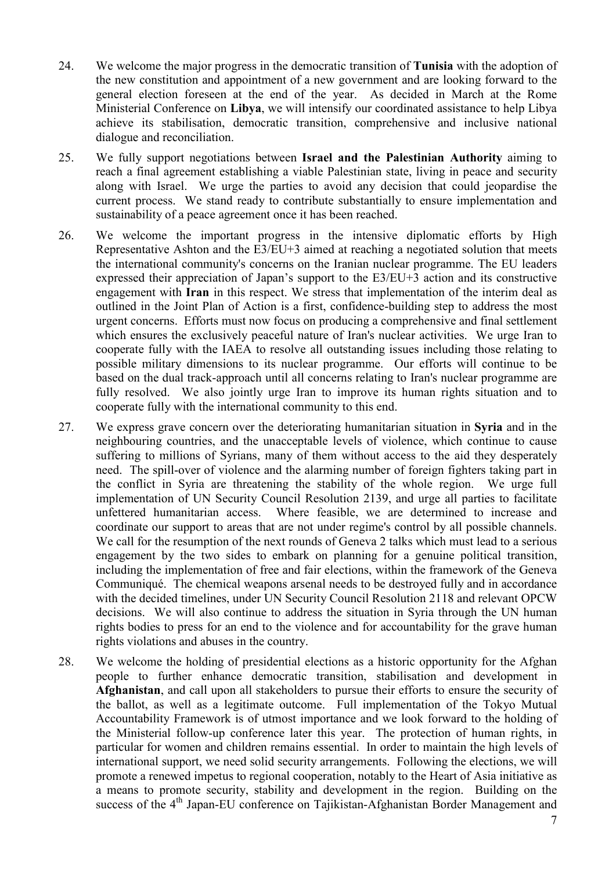- 24. We welcome the major progress in the democratic transition of **Tunisia** with the adoption of the new constitution and appointment of a new government and are looking forward to the general election foreseen at the end of the year. As decided in March at the Rome Ministerial Conference on **Libya**, we will intensify our coordinated assistance to help Libya achieve its stabilisation, democratic transition, comprehensive and inclusive national dialogue and reconciliation.
- 25. We fully support negotiations between **Israel and the Palestinian Authority** aiming to reach a final agreement establishing a viable Palestinian state, living in peace and security along with Israel. We urge the parties to avoid any decision that could jeopardise the current process. We stand ready to contribute substantially to ensure implementation and sustainability of a peace agreement once it has been reached.
- 26. We welcome the important progress in the intensive diplomatic efforts by High Representative Ashton and the E3/EU+3 aimed at reaching a negotiated solution that meets the international community's concerns on the Iranian nuclear programme. The EU leaders expressed their appreciation of Japan's support to the E3/EU+3 action and its constructive engagement with **Iran** in this respect. We stress that implementation of the interim deal as outlined in the Joint Plan of Action is a first, confidence-building step to address the most urgent concerns. Efforts must now focus on producing a comprehensive and final settlement which ensures the exclusively peaceful nature of Iran's nuclear activities. We urge Iran to cooperate fully with the IAEA to resolve all outstanding issues including those relating to possible military dimensions to its nuclear programme. Our efforts will continue to be based on the dual track-approach until all concerns relating to Iran's nuclear programme are fully resolved. We also jointly urge Iran to improve its human rights situation and to cooperate fully with the international community to this end.
- 27. We express grave concern over the deteriorating humanitarian situation in **Syria** and in the neighbouring countries, and the unacceptable levels of violence, which continue to cause suffering to millions of Syrians, many of them without access to the aid they desperately need. The spill-over of violence and the alarming number of foreign fighters taking part in the conflict in Syria are threatening the stability of the whole region. We urge full implementation of UN Security Council Resolution 2139, and urge all parties to facilitate unfettered humanitarian access. Where feasible, we are determined to increase and coordinate our support to areas that are not under regime's control by all possible channels. We call for the resumption of the next rounds of Geneva 2 talks which must lead to a serious engagement by the two sides to embark on planning for a genuine political transition, including the implementation of free and fair elections, within the framework of the Geneva Communiqué. The chemical weapons arsenal needs to be destroyed fully and in accordance with the decided timelines, under UN Security Council Resolution 2118 and relevant OPCW decisions. We will also continue to address the situation in Syria through the UN human rights bodies to press for an end to the violence and for accountability for the grave human rights violations and abuses in the country.
- 28. We welcome the holding of presidential elections as a historic opportunity for the Afghan people to further enhance democratic transition, stabilisation and development in **Afghanistan**, and call upon all stakeholders to pursue their efforts to ensure the security of the ballot, as well as a legitimate outcome. Full implementation of the Tokyo Mutual Accountability Framework is of utmost importance and we look forward to the holding of the Ministerial follow-up conference later this year. The protection of human rights, in particular for women and children remains essential. In order to maintain the high levels of international support, we need solid security arrangements. Following the elections, we will promote a renewed impetus to regional cooperation, notably to the Heart of Asia initiative as a means to promote security, stability and development in the region. Building on the success of the 4<sup>th</sup> Japan-EU conference on Tajikistan-Afghanistan Border Management and